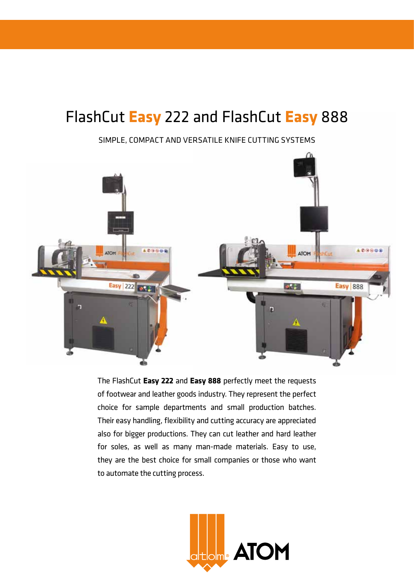# FlashCut **Easy** 222 and FlashCut **Easy** 888

Simple, compact and versatile knife cutting systems



The FlashCut **Easy 222** and **Easy 888** perfectly meet the requests of footwear and leather goods industry. They represent the perfect choice for sample departments and small production batches. Their easy handling, flexibility and cutting accuracy are appreciated also for bigger productions. They can cut leather and hard leather for soles, as well as many man-made materials. Easy to use, they are the best choice for small companies or those who want to automate the cutting process.